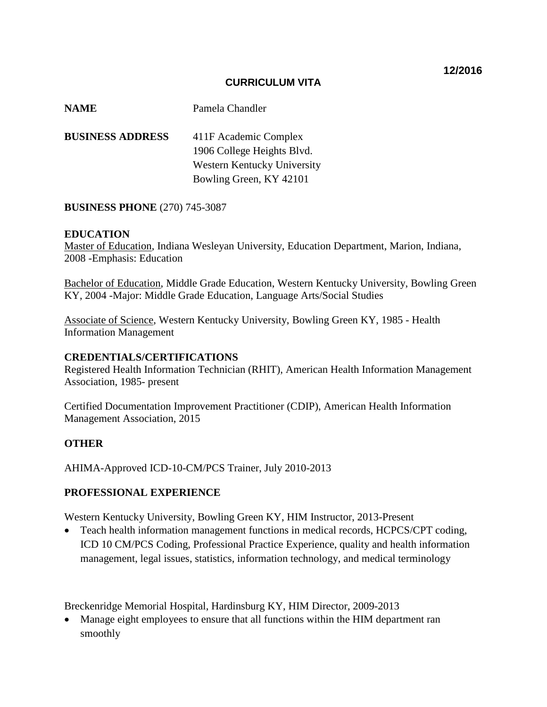## **CURRICULUM VITA**

| <b>NAME</b>             | Pamela Chandler             |
|-------------------------|-----------------------------|
| <b>BUSINESS ADDRESS</b> | 411F Academic Complex       |
|                         | 1906 College Heights Blvd.  |
|                         | Western Kentucky University |
|                         | Bowling Green, KY 42101     |

## **BUSINESS PHONE** (270) 745-3087

## **EDUCATION**

Master of Education, Indiana Wesleyan University, Education Department, Marion, Indiana, 2008 -Emphasis: Education

Bachelor of Education, Middle Grade Education, Western Kentucky University, Bowling Green KY, 2004 -Major: Middle Grade Education, Language Arts/Social Studies

Associate of Science, Western Kentucky University, Bowling Green KY, 1985 - Health Information Management

### **CREDENTIALS/CERTIFICATIONS**

Registered Health Information Technician (RHIT), American Health Information Management Association, 1985- present

Certified Documentation Improvement Practitioner (CDIP), American Health Information Management Association, 2015

## **OTHER**

AHIMA-Approved ICD-10-CM/PCS Trainer, July 2010-2013

## **PROFESSIONAL EXPERIENCE**

Western Kentucky University, Bowling Green KY, HIM Instructor, 2013-Present

• Teach health information management functions in medical records, HCPCS/CPT coding, ICD 10 CM/PCS Coding, Professional Practice Experience, quality and health information management, legal issues, statistics, information technology, and medical terminology

Breckenridge Memorial Hospital, Hardinsburg KY, HIM Director, 2009-2013

• Manage eight employees to ensure that all functions within the HIM department ran smoothly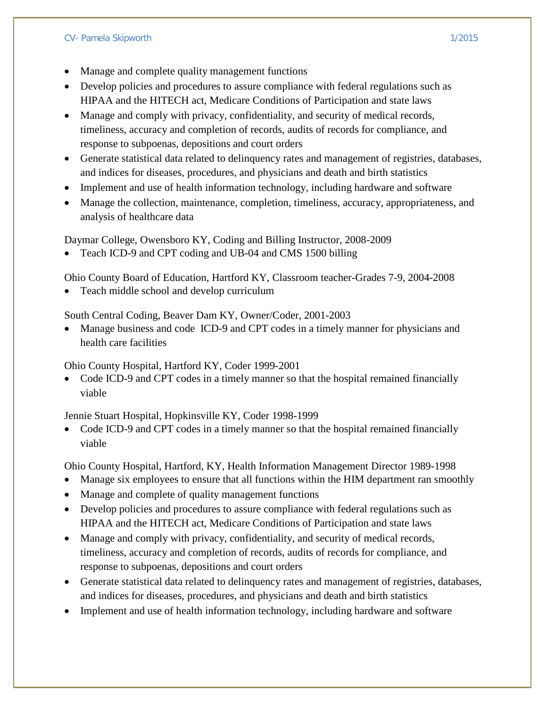## CV- Pamela Skipworth 1/2015

- Develop policies and procedures to assure compliance with federal regulations such as HIPAA and the HITECH act, Medicare Conditions of Participation and state laws
- Manage and comply with privacy, confidentiality, and security of medical records, timeliness, accuracy and completion of records, audits of records for compliance, and response to subpoenas, depositions and court orders
- Generate statistical data related to delinquency rates and management of registries, databases, and indices for diseases, procedures, and physicians and death and birth statistics
- Implement and use of health information technology, including hardware and software
- Manage the collection, maintenance, completion, timeliness, accuracy, appropriateness, and analysis of healthcare data

Daymar College, Owensboro KY, Coding and Billing Instructor, 2008-2009

• Teach ICD-9 and CPT coding and UB-04 and CMS 1500 billing

Ohio County Board of Education, Hartford KY, Classroom teacher-Grades 7-9, 2004-2008

• Teach middle school and develop curriculum

South Central Coding, Beaver Dam KY, Owner/Coder, 2001-2003

• Manage business and code ICD-9 and CPT codes in a timely manner for physicians and health care facilities

Ohio County Hospital, Hartford KY, Coder 1999-2001

• Code ICD-9 and CPT codes in a timely manner so that the hospital remained financially viable

Jennie Stuart Hospital, Hopkinsville KY, Coder 1998-1999

• Code ICD-9 and CPT codes in a timely manner so that the hospital remained financially viable

Ohio County Hospital, Hartford, KY, Health Information Management Director 1989-1998

- Manage six employees to ensure that all functions within the HIM department ran smoothly
- Manage and complete of quality management functions
- Develop policies and procedures to assure compliance with federal regulations such as HIPAA and the HITECH act, Medicare Conditions of Participation and state laws
- Manage and comply with privacy, confidentiality, and security of medical records, timeliness, accuracy and completion of records, audits of records for compliance, and response to subpoenas, depositions and court orders
- Generate statistical data related to delinquency rates and management of registries, databases, and indices for diseases, procedures, and physicians and death and birth statistics
- Implement and use of health information technology, including hardware and software